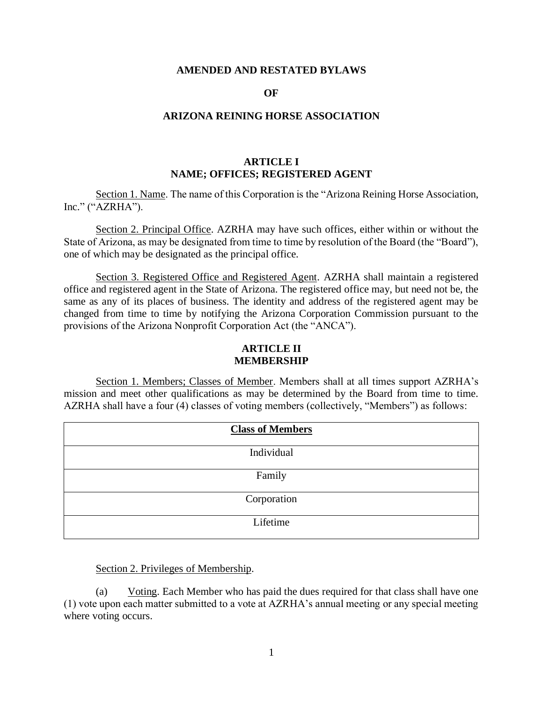#### **AMENDED AND RESTATED BYLAWS**

#### **OF**

#### **ARIZONA REINING HORSE ASSOCIATION**

# **ARTICLE I NAME; OFFICES; REGISTERED AGENT**

Section 1. Name. The name of this Corporation is the "Arizona Reining Horse Association, Inc." ("AZRHA").

Section 2. Principal Office. AZRHA may have such offices, either within or without the State of Arizona, as may be designated from time to time by resolution of the Board (the "Board"), one of which may be designated as the principal office.

Section 3. Registered Office and Registered Agent. AZRHA shall maintain a registered office and registered agent in the State of Arizona. The registered office may, but need not be, the same as any of its places of business. The identity and address of the registered agent may be changed from time to time by notifying the Arizona Corporation Commission pursuant to the provisions of the Arizona Nonprofit Corporation Act (the "ANCA").

# **ARTICLE II MEMBERSHIP**

Section 1. Members; Classes of Member. Members shall at all times support AZRHA's mission and meet other qualifications as may be determined by the Board from time to time. AZRHA shall have a four (4) classes of voting members (collectively, "Members") as follows:

| <b>Class of Members</b> |
|-------------------------|
| Individual              |
| Family                  |
| Corporation             |
| Lifetime                |

Section 2. Privileges of Membership.

(a) Voting. Each Member who has paid the dues required for that class shall have one (1) vote upon each matter submitted to a vote at AZRHA's annual meeting or any special meeting where voting occurs.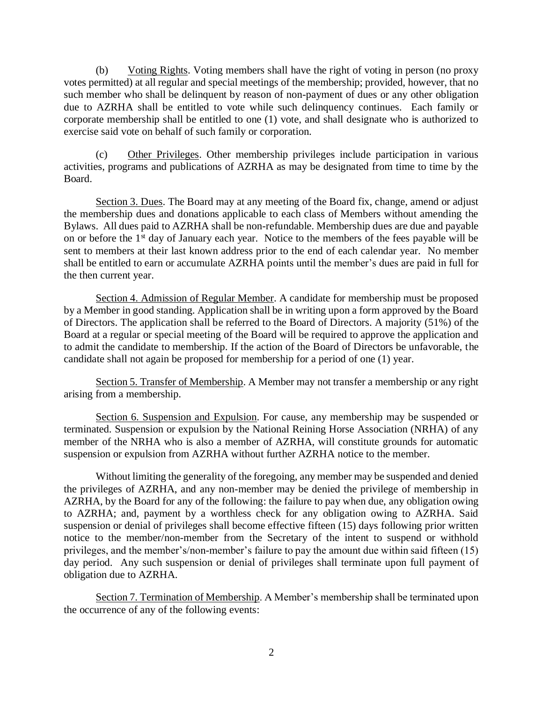(b) Voting Rights. Voting members shall have the right of voting in person (no proxy votes permitted) at all regular and special meetings of the membership; provided, however, that no such member who shall be delinquent by reason of non-payment of dues or any other obligation due to AZRHA shall be entitled to vote while such delinquency continues. Each family or corporate membership shall be entitled to one (1) vote, and shall designate who is authorized to exercise said vote on behalf of such family or corporation.

(c) Other Privileges. Other membership privileges include participation in various activities, programs and publications of AZRHA as may be designated from time to time by the Board.

Section 3. Dues. The Board may at any meeting of the Board fix, change, amend or adjust the membership dues and donations applicable to each class of Members without amending the Bylaws. All dues paid to AZRHA shall be non-refundable. Membership dues are due and payable on or before the  $1<sup>st</sup>$  day of January each year. Notice to the members of the fees payable will be sent to members at their last known address prior to the end of each calendar year. No member shall be entitled to earn or accumulate AZRHA points until the member's dues are paid in full for the then current year.

Section 4. Admission of Regular Member. A candidate for membership must be proposed by a Member in good standing. Application shall be in writing upon a form approved by the Board of Directors. The application shall be referred to the Board of Directors. A majority (51%) of the Board at a regular or special meeting of the Board will be required to approve the application and to admit the candidate to membership. If the action of the Board of Directors be unfavorable, the candidate shall not again be proposed for membership for a period of one (1) year.

Section 5. Transfer of Membership. A Member may not transfer a membership or any right arising from a membership.

Section 6. Suspension and Expulsion. For cause, any membership may be suspended or terminated. Suspension or expulsion by the National Reining Horse Association (NRHA) of any member of the NRHA who is also a member of AZRHA, will constitute grounds for automatic suspension or expulsion from AZRHA without further AZRHA notice to the member.

Without limiting the generality of the foregoing, any member may be suspended and denied the privileges of AZRHA, and any non-member may be denied the privilege of membership in AZRHA, by the Board for any of the following: the failure to pay when due, any obligation owing to AZRHA; and, payment by a worthless check for any obligation owing to AZRHA. Said suspension or denial of privileges shall become effective fifteen (15) days following prior written notice to the member/non-member from the Secretary of the intent to suspend or withhold privileges, and the member's/non-member's failure to pay the amount due within said fifteen (15) day period. Any such suspension or denial of privileges shall terminate upon full payment of obligation due to AZRHA.

Section 7. Termination of Membership. A Member's membership shall be terminated upon the occurrence of any of the following events: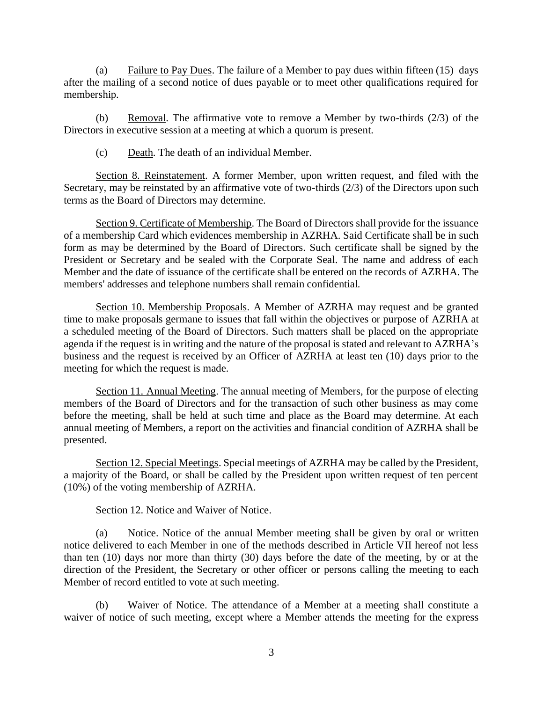(a) Failure to Pay Dues. The failure of a Member to pay dues within fifteen  $(15)$  days after the mailing of a second notice of dues payable or to meet other qualifications required for membership.

(b) Removal. The affirmative vote to remove a Member by two-thirds (2/3) of the Directors in executive session at a meeting at which a quorum is present.

(c) Death. The death of an individual Member.

Section 8. Reinstatement. A former Member, upon written request, and filed with the Secretary, may be reinstated by an affirmative vote of two-thirds (2/3) of the Directors upon such terms as the Board of Directors may determine.

Section 9. Certificate of Membership. The Board of Directors shall provide for the issuance of a membership Card which evidences membership in AZRHA. Said Certificate shall be in such form as may be determined by the Board of Directors. Such certificate shall be signed by the President or Secretary and be sealed with the Corporate Seal. The name and address of each Member and the date of issuance of the certificate shall be entered on the records of AZRHA. The members' addresses and telephone numbers shall remain confidential.

Section 10. Membership Proposals. A Member of AZRHA may request and be granted time to make proposals germane to issues that fall within the objectives or purpose of AZRHA at a scheduled meeting of the Board of Directors. Such matters shall be placed on the appropriate agenda if the request is in writing and the nature of the proposal is stated and relevant to AZRHA's business and the request is received by an Officer of AZRHA at least ten (10) days prior to the meeting for which the request is made.

Section 11. Annual Meeting. The annual meeting of Members, for the purpose of electing members of the Board of Directors and for the transaction of such other business as may come before the meeting, shall be held at such time and place as the Board may determine. At each annual meeting of Members, a report on the activities and financial condition of AZRHA shall be presented.

Section 12. Special Meetings. Special meetings of AZRHA may be called by the President, a majority of the Board, or shall be called by the President upon written request of ten percent (10%) of the voting membership of AZRHA.

# Section 12. Notice and Waiver of Notice.

(a) Notice. Notice of the annual Member meeting shall be given by oral or written notice delivered to each Member in one of the methods described in Article VII hereof not less than ten (10) days nor more than thirty (30) days before the date of the meeting, by or at the direction of the President, the Secretary or other officer or persons calling the meeting to each Member of record entitled to vote at such meeting.

(b) Waiver of Notice. The attendance of a Member at a meeting shall constitute a waiver of notice of such meeting, except where a Member attends the meeting for the express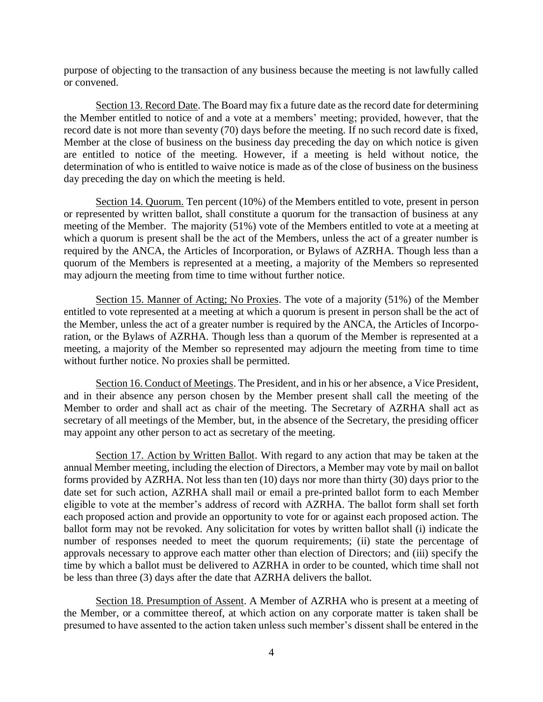purpose of objecting to the transaction of any business because the meeting is not lawfully called or convened.

Section 13. Record Date. The Board may fix a future date as the record date for determining the Member entitled to notice of and a vote at a members' meeting; provided, however, that the record date is not more than seventy (70) days before the meeting. If no such record date is fixed, Member at the close of business on the business day preceding the day on which notice is given are entitled to notice of the meeting. However, if a meeting is held without notice, the determination of who is entitled to waive notice is made as of the close of business on the business day preceding the day on which the meeting is held.

Section 14. Quorum. Ten percent (10%) of the Members entitled to vote, present in person or represented by written ballot, shall constitute a quorum for the transaction of business at any meeting of the Member. The majority (51%) vote of the Members entitled to vote at a meeting at which a quorum is present shall be the act of the Members, unless the act of a greater number is required by the ANCA, the Articles of Incorporation, or Bylaws of AZRHA. Though less than a quorum of the Members is represented at a meeting, a majority of the Members so represented may adjourn the meeting from time to time without further notice.

Section 15. Manner of Acting; No Proxies. The vote of a majority (51%) of the Member entitled to vote represented at a meeting at which a quorum is present in person shall be the act of the Member, unless the act of a greater number is required by the ANCA, the Articles of Incorporation, or the Bylaws of AZRHA. Though less than a quorum of the Member is represented at a meeting, a majority of the Member so represented may adjourn the meeting from time to time without further notice. No proxies shall be permitted.

Section 16. Conduct of Meetings. The President, and in his or her absence, a Vice President, and in their absence any person chosen by the Member present shall call the meeting of the Member to order and shall act as chair of the meeting. The Secretary of AZRHA shall act as secretary of all meetings of the Member, but, in the absence of the Secretary, the presiding officer may appoint any other person to act as secretary of the meeting.

Section 17. Action by Written Ballot. With regard to any action that may be taken at the annual Member meeting, including the election of Directors, a Member may vote by mail on ballot forms provided by AZRHA. Not less than ten (10) days nor more than thirty (30) days prior to the date set for such action, AZRHA shall mail or email a pre-printed ballot form to each Member eligible to vote at the member's address of record with AZRHA. The ballot form shall set forth each proposed action and provide an opportunity to vote for or against each proposed action. The ballot form may not be revoked. Any solicitation for votes by written ballot shall (i) indicate the number of responses needed to meet the quorum requirements; (ii) state the percentage of approvals necessary to approve each matter other than election of Directors; and (iii) specify the time by which a ballot must be delivered to AZRHA in order to be counted, which time shall not be less than three (3) days after the date that AZRHA delivers the ballot.

Section 18. Presumption of Assent. A Member of AZRHA who is present at a meeting of the Member, or a committee thereof, at which action on any corporate matter is taken shall be presumed to have assented to the action taken unless such member's dissent shall be entered in the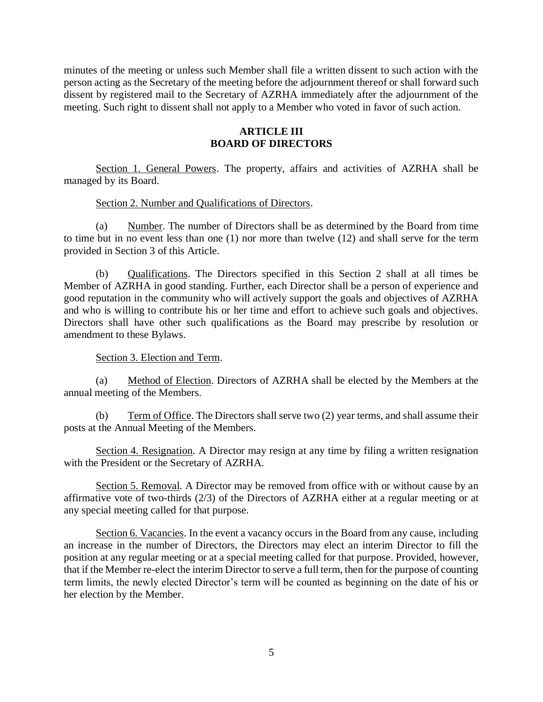minutes of the meeting or unless such Member shall file a written dissent to such action with the person acting as the Secretary of the meeting before the adjournment thereof or shall forward such dissent by registered mail to the Secretary of AZRHA immediately after the adjournment of the meeting. Such right to dissent shall not apply to a Member who voted in favor of such action.

### **ARTICLE III BOARD OF DIRECTORS**

Section 1. General Powers. The property, affairs and activities of AZRHA shall be managed by its Board.

Section 2. Number and Qualifications of Directors.

(a) Number. The number of Directors shall be as determined by the Board from time to time but in no event less than one (1) nor more than twelve (12) and shall serve for the term provided in Section 3 of this Article.

(b) Qualifications. The Directors specified in this Section 2 shall at all times be Member of AZRHA in good standing. Further, each Director shall be a person of experience and good reputation in the community who will actively support the goals and objectives of AZRHA and who is willing to contribute his or her time and effort to achieve such goals and objectives. Directors shall have other such qualifications as the Board may prescribe by resolution or amendment to these Bylaws.

# Section 3. Election and Term.

(a) Method of Election. Directors of AZRHA shall be elected by the Members at the annual meeting of the Members.

(b) Term of Office. The Directors shall serve two (2) year terms, and shall assume their posts at the Annual Meeting of the Members.

Section 4. Resignation. A Director may resign at any time by filing a written resignation with the President or the Secretary of AZRHA.

Section 5. Removal. A Director may be removed from office with or without cause by an affirmative vote of two-thirds (2/3) of the Directors of AZRHA either at a regular meeting or at any special meeting called for that purpose.

Section 6. Vacancies. In the event a vacancy occurs in the Board from any cause, including an increase in the number of Directors, the Directors may elect an interim Director to fill the position at any regular meeting or at a special meeting called for that purpose. Provided, however, that if the Member re-elect the interim Director to serve a full term, then for the purpose of counting term limits, the newly elected Director's term will be counted as beginning on the date of his or her election by the Member.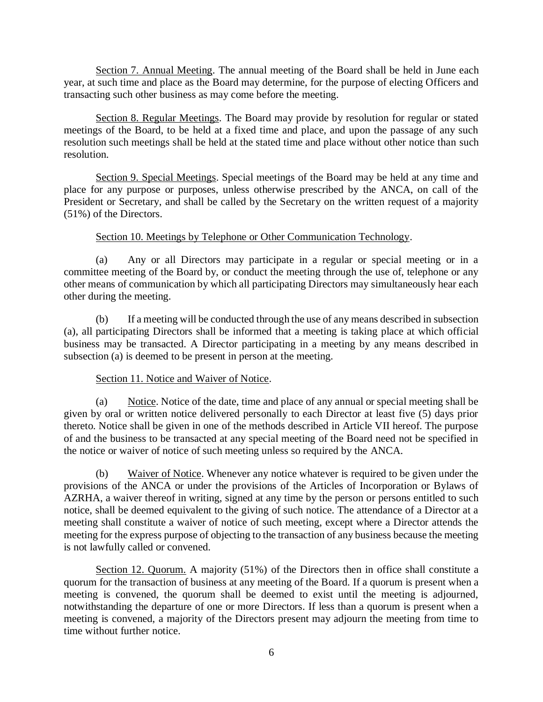Section 7. Annual Meeting. The annual meeting of the Board shall be held in June each year, at such time and place as the Board may determine, for the purpose of electing Officers and transacting such other business as may come before the meeting.

Section 8. Regular Meetings. The Board may provide by resolution for regular or stated meetings of the Board, to be held at a fixed time and place, and upon the passage of any such resolution such meetings shall be held at the stated time and place without other notice than such resolution.

Section 9. Special Meetings. Special meetings of the Board may be held at any time and place for any purpose or purposes, unless otherwise prescribed by the ANCA, on call of the President or Secretary, and shall be called by the Secretary on the written request of a majority (51%) of the Directors.

# Section 10. Meetings by Telephone or Other Communication Technology.

(a) Any or all Directors may participate in a regular or special meeting or in a committee meeting of the Board by, or conduct the meeting through the use of, telephone or any other means of communication by which all participating Directors may simultaneously hear each other during the meeting.

(b) If a meeting will be conducted through the use of any means described in subsection (a), all participating Directors shall be informed that a meeting is taking place at which official business may be transacted. A Director participating in a meeting by any means described in subsection (a) is deemed to be present in person at the meeting.

# Section 11. Notice and Waiver of Notice.

(a) Notice. Notice of the date, time and place of any annual or special meeting shall be given by oral or written notice delivered personally to each Director at least five (5) days prior thereto. Notice shall be given in one of the methods described in Article VII hereof. The purpose of and the business to be transacted at any special meeting of the Board need not be specified in the notice or waiver of notice of such meeting unless so required by the ANCA.

(b) Waiver of Notice. Whenever any notice whatever is required to be given under the provisions of the ANCA or under the provisions of the Articles of Incorporation or Bylaws of AZRHA, a waiver thereof in writing, signed at any time by the person or persons entitled to such notice, shall be deemed equivalent to the giving of such notice. The attendance of a Director at a meeting shall constitute a waiver of notice of such meeting, except where a Director attends the meeting for the express purpose of objecting to the transaction of any business because the meeting is not lawfully called or convened.

Section 12. Quorum. A majority (51%) of the Directors then in office shall constitute a quorum for the transaction of business at any meeting of the Board. If a quorum is present when a meeting is convened, the quorum shall be deemed to exist until the meeting is adjourned, notwithstanding the departure of one or more Directors. If less than a quorum is present when a meeting is convened, a majority of the Directors present may adjourn the meeting from time to time without further notice.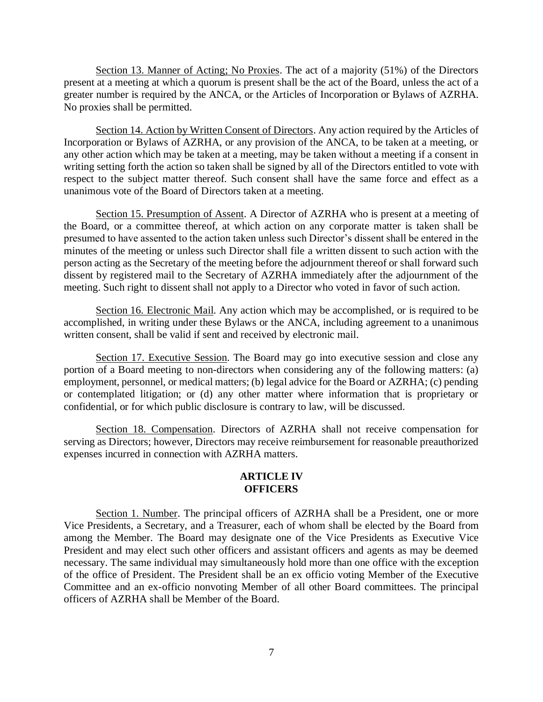Section 13. Manner of Acting; No Proxies. The act of a majority (51%) of the Directors present at a meeting at which a quorum is present shall be the act of the Board, unless the act of a greater number is required by the ANCA, or the Articles of Incorporation or Bylaws of AZRHA. No proxies shall be permitted.

Section 14. Action by Written Consent of Directors. Any action required by the Articles of Incorporation or Bylaws of AZRHA, or any provision of the ANCA, to be taken at a meeting, or any other action which may be taken at a meeting, may be taken without a meeting if a consent in writing setting forth the action so taken shall be signed by all of the Directors entitled to vote with respect to the subject matter thereof. Such consent shall have the same force and effect as a unanimous vote of the Board of Directors taken at a meeting.

Section 15. Presumption of Assent. A Director of AZRHA who is present at a meeting of the Board, or a committee thereof, at which action on any corporate matter is taken shall be presumed to have assented to the action taken unless such Director's dissent shall be entered in the minutes of the meeting or unless such Director shall file a written dissent to such action with the person acting as the Secretary of the meeting before the adjournment thereof or shall forward such dissent by registered mail to the Secretary of AZRHA immediately after the adjournment of the meeting. Such right to dissent shall not apply to a Director who voted in favor of such action.

Section 16. Electronic Mail. Any action which may be accomplished, or is required to be accomplished, in writing under these Bylaws or the ANCA, including agreement to a unanimous written consent, shall be valid if sent and received by electronic mail.

Section 17. Executive Session. The Board may go into executive session and close any portion of a Board meeting to non-directors when considering any of the following matters: (a) employment, personnel, or medical matters; (b) legal advice for the Board or AZRHA; (c) pending or contemplated litigation; or (d) any other matter where information that is proprietary or confidential, or for which public disclosure is contrary to law, will be discussed.

Section 18. Compensation. Directors of AZRHA shall not receive compensation for serving as Directors; however, Directors may receive reimbursement for reasonable preauthorized expenses incurred in connection with AZRHA matters.

### **ARTICLE IV OFFICERS**

Section 1. Number. The principal officers of AZRHA shall be a President, one or more Vice Presidents, a Secretary, and a Treasurer, each of whom shall be elected by the Board from among the Member. The Board may designate one of the Vice Presidents as Executive Vice President and may elect such other officers and assistant officers and agents as may be deemed necessary. The same individual may simultaneously hold more than one office with the exception of the office of President. The President shall be an ex officio voting Member of the Executive Committee and an ex-officio nonvoting Member of all other Board committees. The principal officers of AZRHA shall be Member of the Board.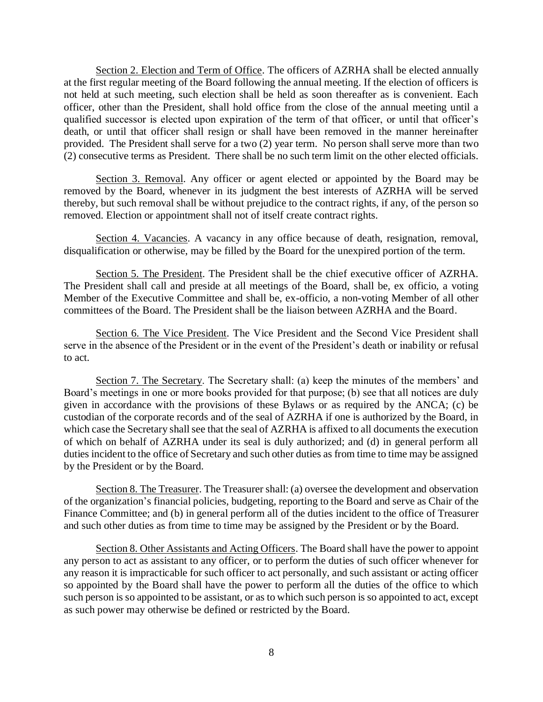Section 2. Election and Term of Office. The officers of AZRHA shall be elected annually at the first regular meeting of the Board following the annual meeting. If the election of officers is not held at such meeting, such election shall be held as soon thereafter as is convenient. Each officer, other than the President, shall hold office from the close of the annual meeting until a qualified successor is elected upon expiration of the term of that officer, or until that officer's death, or until that officer shall resign or shall have been removed in the manner hereinafter provided. The President shall serve for a two (2) year term. No person shall serve more than two (2) consecutive terms as President. There shall be no such term limit on the other elected officials.

Section 3. Removal. Any officer or agent elected or appointed by the Board may be removed by the Board, whenever in its judgment the best interests of AZRHA will be served thereby, but such removal shall be without prejudice to the contract rights, if any, of the person so removed. Election or appointment shall not of itself create contract rights.

Section 4. Vacancies. A vacancy in any office because of death, resignation, removal, disqualification or otherwise, may be filled by the Board for the unexpired portion of the term.

Section 5. The President. The President shall be the chief executive officer of AZRHA. The President shall call and preside at all meetings of the Board, shall be, ex officio, a voting Member of the Executive Committee and shall be, ex-officio, a non-voting Member of all other committees of the Board. The President shall be the liaison between AZRHA and the Board.

Section 6. The Vice President. The Vice President and the Second Vice President shall serve in the absence of the President or in the event of the President's death or inability or refusal to act.

Section 7. The Secretary. The Secretary shall: (a) keep the minutes of the members' and Board's meetings in one or more books provided for that purpose; (b) see that all notices are duly given in accordance with the provisions of these Bylaws or as required by the ANCA; (c) be custodian of the corporate records and of the seal of AZRHA if one is authorized by the Board, in which case the Secretary shall see that the seal of AZRHA is affixed to all documents the execution of which on behalf of AZRHA under its seal is duly authorized; and (d) in general perform all duties incident to the office of Secretary and such other duties as from time to time may be assigned by the President or by the Board.

Section 8. The Treasurer. The Treasurer shall: (a) oversee the development and observation of the organization's financial policies, budgeting, reporting to the Board and serve as Chair of the Finance Committee; and (b) in general perform all of the duties incident to the office of Treasurer and such other duties as from time to time may be assigned by the President or by the Board.

Section 8. Other Assistants and Acting Officers. The Board shall have the power to appoint any person to act as assistant to any officer, or to perform the duties of such officer whenever for any reason it is impracticable for such officer to act personally, and such assistant or acting officer so appointed by the Board shall have the power to perform all the duties of the office to which such person is so appointed to be assistant, or as to which such person is so appointed to act, except as such power may otherwise be defined or restricted by the Board.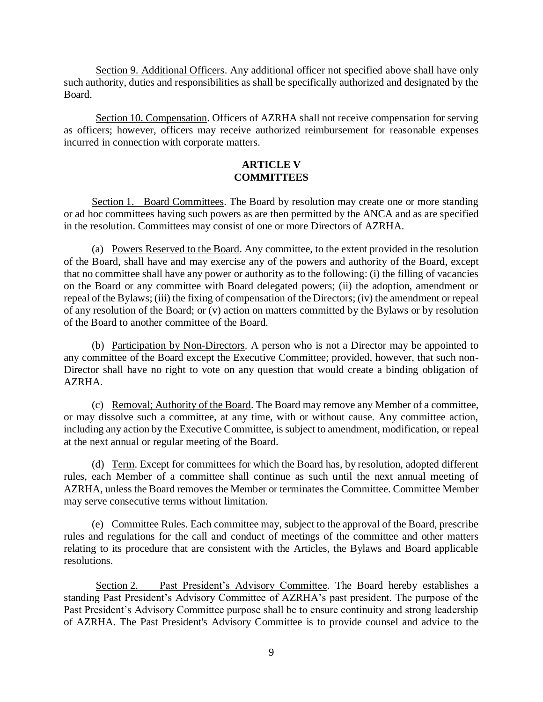Section 9. Additional Officers. Any additional officer not specified above shall have only such authority, duties and responsibilities as shall be specifically authorized and designated by the Board.

Section 10. Compensation. Officers of AZRHA shall not receive compensation for serving as officers; however, officers may receive authorized reimbursement for reasonable expenses incurred in connection with corporate matters.

# **ARTICLE V COMMITTEES**

Section 1. Board Committees. The Board by resolution may create one or more standing or ad hoc committees having such powers as are then permitted by the ANCA and as are specified in the resolution. Committees may consist of one or more Directors of AZRHA.

(a) Powers Reserved to the Board. Any committee, to the extent provided in the resolution of the Board, shall have and may exercise any of the powers and authority of the Board, except that no committee shall have any power or authority as to the following: (i) the filling of vacancies on the Board or any committee with Board delegated powers; (ii) the adoption, amendment or repeal of the Bylaws; (iii) the fixing of compensation of the Directors; (iv) the amendment or repeal of any resolution of the Board; or (v) action on matters committed by the Bylaws or by resolution of the Board to another committee of the Board.

(b) Participation by Non-Directors. A person who is not a Director may be appointed to any committee of the Board except the Executive Committee; provided, however, that such non-Director shall have no right to vote on any question that would create a binding obligation of AZRHA.

(c) Removal; Authority of the Board. The Board may remove any Member of a committee, or may dissolve such a committee, at any time, with or without cause. Any committee action, including any action by the Executive Committee, is subject to amendment, modification, or repeal at the next annual or regular meeting of the Board.

(d) Term. Except for committees for which the Board has, by resolution, adopted different rules, each Member of a committee shall continue as such until the next annual meeting of AZRHA, unless the Board removes the Member or terminates the Committee. Committee Member may serve consecutive terms without limitation.

(e) Committee Rules. Each committee may, subject to the approval of the Board, prescribe rules and regulations for the call and conduct of meetings of the committee and other matters relating to its procedure that are consistent with the Articles, the Bylaws and Board applicable resolutions.

Section 2. Past President's Advisory Committee. The Board hereby establishes a standing Past President's Advisory Committee of AZRHA's past president. The purpose of the Past President's Advisory Committee purpose shall be to ensure continuity and strong leadership of AZRHA. The Past President's Advisory Committee is to provide counsel and advice to the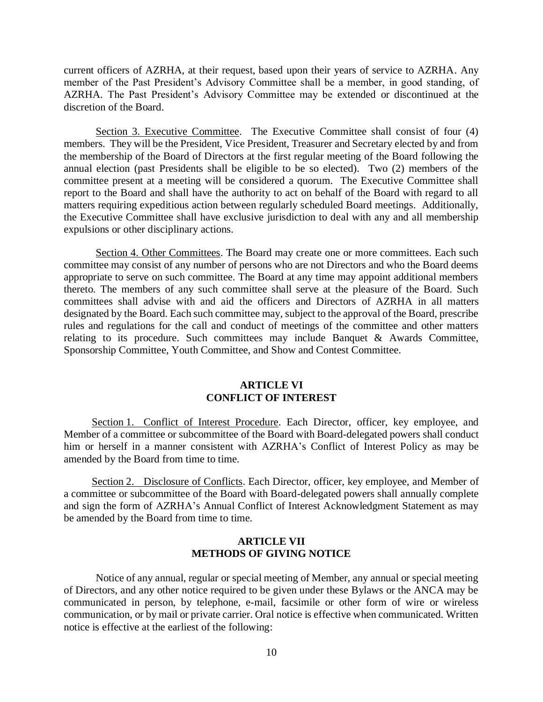current officers of AZRHA, at their request, based upon their years of service to AZRHA. Any member of the Past President's Advisory Committee shall be a member, in good standing, of AZRHA. The Past President's Advisory Committee may be extended or discontinued at the discretion of the Board.

Section 3. Executive Committee. The Executive Committee shall consist of four (4) members. They will be the President, Vice President, Treasurer and Secretary elected by and from the membership of the Board of Directors at the first regular meeting of the Board following the annual election (past Presidents shall be eligible to be so elected). Two (2) members of the committee present at a meeting will be considered a quorum. The Executive Committee shall report to the Board and shall have the authority to act on behalf of the Board with regard to all matters requiring expeditious action between regularly scheduled Board meetings. Additionally, the Executive Committee shall have exclusive jurisdiction to deal with any and all membership expulsions or other disciplinary actions.

Section 4. Other Committees. The Board may create one or more committees. Each such committee may consist of any number of persons who are not Directors and who the Board deems appropriate to serve on such committee. The Board at any time may appoint additional members thereto. The members of any such committee shall serve at the pleasure of the Board. Such committees shall advise with and aid the officers and Directors of AZRHA in all matters designated by the Board. Each such committee may, subject to the approval of the Board, prescribe rules and regulations for the call and conduct of meetings of the committee and other matters relating to its procedure. Such committees may include Banquet  $\&$  Awards Committee, Sponsorship Committee, Youth Committee, and Show and Contest Committee.

### **ARTICLE VI CONFLICT OF INTEREST**

Section 1. Conflict of Interest Procedure. Each Director, officer, key employee, and Member of a committee or subcommittee of the Board with Board-delegated powers shall conduct him or herself in a manner consistent with AZRHA's Conflict of Interest Policy as may be amended by the Board from time to time.

Section 2. Disclosure of Conflicts. Each Director, officer, key employee, and Member of a committee or subcommittee of the Board with Board-delegated powers shall annually complete and sign the form of AZRHA's Annual Conflict of Interest Acknowledgment Statement as may be amended by the Board from time to time.

# **ARTICLE VII METHODS OF GIVING NOTICE**

Notice of any annual, regular or special meeting of Member, any annual or special meeting of Directors, and any other notice required to be given under these Bylaws or the ANCA may be communicated in person, by telephone, e-mail, facsimile or other form of wire or wireless communication, or by mail or private carrier. Oral notice is effective when communicated. Written notice is effective at the earliest of the following: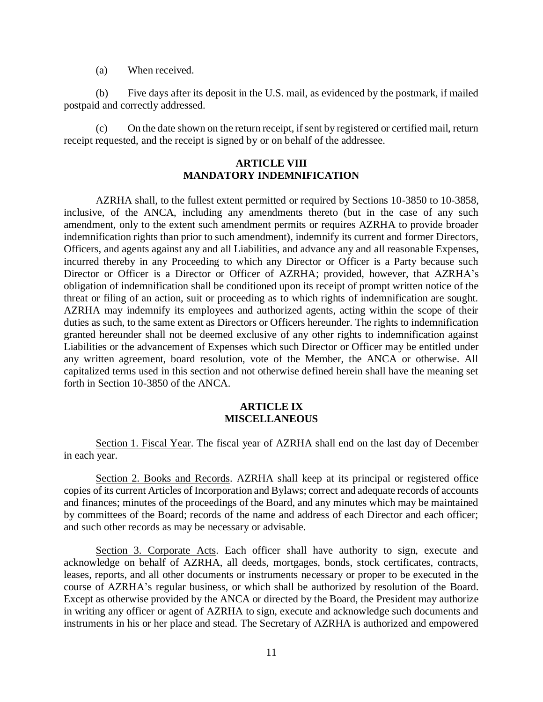(a) When received.

(b) Five days after its deposit in the U.S. mail, as evidenced by the postmark, if mailed postpaid and correctly addressed.

(c) On the date shown on the return receipt, if sent by registered or certified mail, return receipt requested, and the receipt is signed by or on behalf of the addressee.

# **ARTICLE VIII MANDATORY INDEMNIFICATION**

AZRHA shall, to the fullest extent permitted or required by Sections 10-3850 to 10-3858, inclusive, of the ANCA, including any amendments thereto (but in the case of any such amendment, only to the extent such amendment permits or requires AZRHA to provide broader indemnification rights than prior to such amendment), indemnify its current and former Directors, Officers, and agents against any and all Liabilities, and advance any and all reasonable Expenses, incurred thereby in any Proceeding to which any Director or Officer is a Party because such Director or Officer is a Director or Officer of AZRHA; provided, however, that AZRHA's obligation of indemnification shall be conditioned upon its receipt of prompt written notice of the threat or filing of an action, suit or proceeding as to which rights of indemnification are sought. AZRHA may indemnify its employees and authorized agents, acting within the scope of their duties as such, to the same extent as Directors or Officers hereunder. The rights to indemnification granted hereunder shall not be deemed exclusive of any other rights to indemnification against Liabilities or the advancement of Expenses which such Director or Officer may be entitled under any written agreement, board resolution, vote of the Member, the ANCA or otherwise. All capitalized terms used in this section and not otherwise defined herein shall have the meaning set forth in Section 10-3850 of the ANCA.

### **ARTICLE IX MISCELLANEOUS**

Section 1. Fiscal Year. The fiscal year of AZRHA shall end on the last day of December in each year.

Section 2. Books and Records. AZRHA shall keep at its principal or registered office copies of its current Articles of Incorporation and Bylaws; correct and adequate records of accounts and finances; minutes of the proceedings of the Board, and any minutes which may be maintained by committees of the Board; records of the name and address of each Director and each officer; and such other records as may be necessary or advisable.

Section 3. Corporate Acts. Each officer shall have authority to sign, execute and acknowledge on behalf of AZRHA, all deeds, mortgages, bonds, stock certificates, contracts, leases, reports, and all other documents or instruments necessary or proper to be executed in the course of AZRHA's regular business, or which shall be authorized by resolution of the Board. Except as otherwise provided by the ANCA or directed by the Board, the President may authorize in writing any officer or agent of AZRHA to sign, execute and acknowledge such documents and instruments in his or her place and stead. The Secretary of AZRHA is authorized and empowered